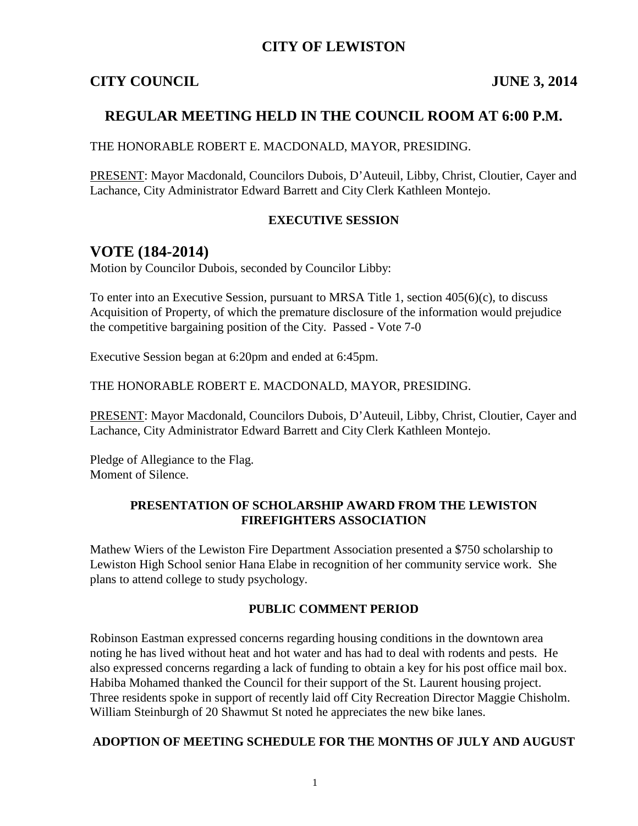## **CITY OF LEWISTON**

#### **CITY COUNCIL JUNE 3, 2014**

## **REGULAR MEETING HELD IN THE COUNCIL ROOM AT 6:00 P.M.**

THE HONORABLE ROBERT E. MACDONALD, MAYOR, PRESIDING.

PRESENT: Mayor Macdonald, Councilors Dubois, D'Auteuil, Libby, Christ, Cloutier, Cayer and Lachance, City Administrator Edward Barrett and City Clerk Kathleen Montejo.

#### **EXECUTIVE SESSION**

## **VOTE (184-2014)**

Motion by Councilor Dubois, seconded by Councilor Libby:

To enter into an Executive Session, pursuant to MRSA Title 1, section 405(6)(c), to discuss Acquisition of Property, of which the premature disclosure of the information would prejudice the competitive bargaining position of the City. Passed - Vote 7-0

Executive Session began at 6:20pm and ended at 6:45pm.

THE HONORABLE ROBERT E. MACDONALD, MAYOR, PRESIDING.

PRESENT: Mayor Macdonald, Councilors Dubois, D'Auteuil, Libby, Christ, Cloutier, Cayer and Lachance, City Administrator Edward Barrett and City Clerk Kathleen Montejo.

Pledge of Allegiance to the Flag. Moment of Silence.

#### **PRESENTATION OF SCHOLARSHIP AWARD FROM THE LEWISTON FIREFIGHTERS ASSOCIATION**

Mathew Wiers of the Lewiston Fire Department Association presented a \$750 scholarship to Lewiston High School senior Hana Elabe in recognition of her community service work. She plans to attend college to study psychology.

#### **PUBLIC COMMENT PERIOD**

Robinson Eastman expressed concerns regarding housing conditions in the downtown area noting he has lived without heat and hot water and has had to deal with rodents and pests. He also expressed concerns regarding a lack of funding to obtain a key for his post office mail box. Habiba Mohamed thanked the Council for their support of the St. Laurent housing project. Three residents spoke in support of recently laid off City Recreation Director Maggie Chisholm. William Steinburgh of 20 Shawmut St noted he appreciates the new bike lanes.

#### **ADOPTION OF MEETING SCHEDULE FOR THE MONTHS OF JULY AND AUGUST**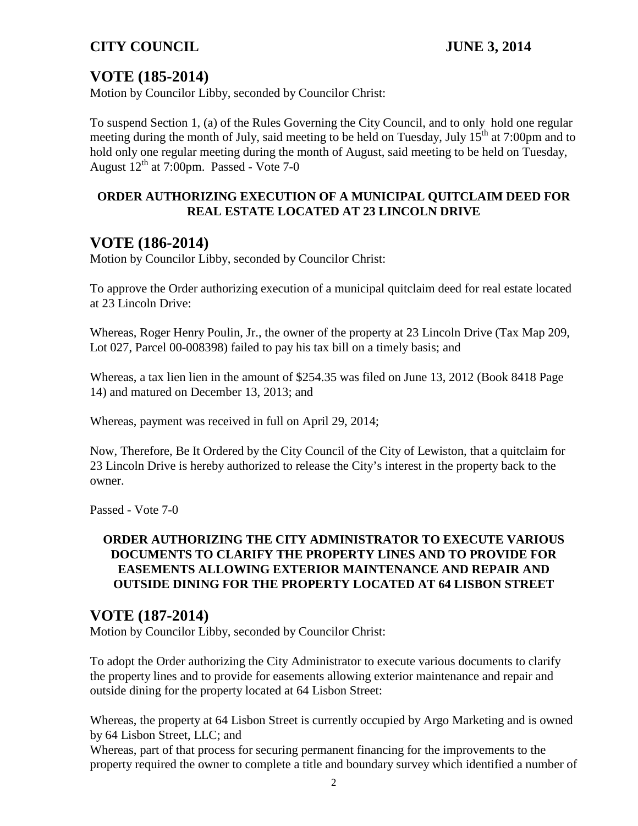# **VOTE (185-2014)**

Motion by Councilor Libby, seconded by Councilor Christ:

To suspend Section 1, (a) of the Rules Governing the City Council, and to only hold one regular meeting during the month of July, said meeting to be held on Tuesday, July  $15<sup>th</sup>$  at 7:00pm and to hold only one regular meeting during the month of August, said meeting to be held on Tuesday, August  $12<sup>th</sup>$  at 7:00pm. Passed - Vote 7-0

## **ORDER AUTHORIZING EXECUTION OF A MUNICIPAL QUITCLAIM DEED FOR REAL ESTATE LOCATED AT 23 LINCOLN DRIVE**

# **VOTE (186-2014)**

Motion by Councilor Libby, seconded by Councilor Christ:

To approve the Order authorizing execution of a municipal quitclaim deed for real estate located at 23 Lincoln Drive:

Whereas, Roger Henry Poulin, Jr., the owner of the property at 23 Lincoln Drive (Tax Map 209, Lot 027, Parcel 00-008398) failed to pay his tax bill on a timely basis; and

Whereas, a tax lien lien in the amount of \$254.35 was filed on June 13, 2012 (Book 8418 Page 14) and matured on December 13, 2013; and

Whereas, payment was received in full on April 29, 2014;

Now, Therefore, Be It Ordered by the City Council of the City of Lewiston, that a quitclaim for 23 Lincoln Drive is hereby authorized to release the City's interest in the property back to the owner.

Passed - Vote 7-0

#### **ORDER AUTHORIZING THE CITY ADMINISTRATOR TO EXECUTE VARIOUS DOCUMENTS TO CLARIFY THE PROPERTY LINES AND TO PROVIDE FOR EASEMENTS ALLOWING EXTERIOR MAINTENANCE AND REPAIR AND OUTSIDE DINING FOR THE PROPERTY LOCATED AT 64 LISBON STREET**

## **VOTE (187-2014)**

Motion by Councilor Libby, seconded by Councilor Christ:

To adopt the Order authorizing the City Administrator to execute various documents to clarify the property lines and to provide for easements allowing exterior maintenance and repair and outside dining for the property located at 64 Lisbon Street:

Whereas, the property at 64 Lisbon Street is currently occupied by Argo Marketing and is owned by 64 Lisbon Street, LLC; and

Whereas, part of that process for securing permanent financing for the improvements to the property required the owner to complete a title and boundary survey which identified a number of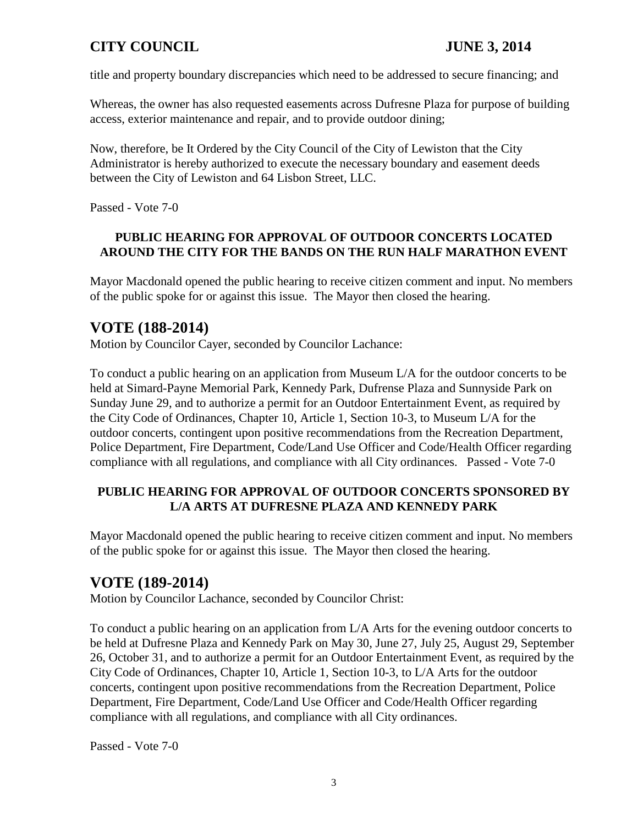title and property boundary discrepancies which need to be addressed to secure financing; and

Whereas, the owner has also requested easements across Dufresne Plaza for purpose of building access, exterior maintenance and repair, and to provide outdoor dining;

Now, therefore, be It Ordered by the City Council of the City of Lewiston that the City Administrator is hereby authorized to execute the necessary boundary and easement deeds between the City of Lewiston and 64 Lisbon Street, LLC.

Passed - Vote 7-0

## **PUBLIC HEARING FOR APPROVAL OF OUTDOOR CONCERTS LOCATED AROUND THE CITY FOR THE BANDS ON THE RUN HALF MARATHON EVENT**

Mayor Macdonald opened the public hearing to receive citizen comment and input. No members of the public spoke for or against this issue. The Mayor then closed the hearing.

# **VOTE (188-2014)**

Motion by Councilor Cayer, seconded by Councilor Lachance:

To conduct a public hearing on an application from Museum L/A for the outdoor concerts to be held at Simard-Payne Memorial Park, Kennedy Park, Dufrense Plaza and Sunnyside Park on Sunday June 29, and to authorize a permit for an Outdoor Entertainment Event, as required by the City Code of Ordinances, Chapter 10, Article 1, Section 10-3, to Museum L/A for the outdoor concerts, contingent upon positive recommendations from the Recreation Department, Police Department, Fire Department, Code/Land Use Officer and Code/Health Officer regarding compliance with all regulations, and compliance with all City ordinances. Passed - Vote 7-0

## **PUBLIC HEARING FOR APPROVAL OF OUTDOOR CONCERTS SPONSORED BY L/A ARTS AT DUFRESNE PLAZA AND KENNEDY PARK**

Mayor Macdonald opened the public hearing to receive citizen comment and input. No members of the public spoke for or against this issue. The Mayor then closed the hearing.

## **VOTE (189-2014)**

Motion by Councilor Lachance, seconded by Councilor Christ:

To conduct a public hearing on an application from L/A Arts for the evening outdoor concerts to be held at Dufresne Plaza and Kennedy Park on May 30, June 27, July 25, August 29, September 26, October 31, and to authorize a permit for an Outdoor Entertainment Event, as required by the City Code of Ordinances, Chapter 10, Article 1, Section 10-3, to L/A Arts for the outdoor concerts, contingent upon positive recommendations from the Recreation Department, Police Department, Fire Department, Code/Land Use Officer and Code/Health Officer regarding compliance with all regulations, and compliance with all City ordinances.

Passed - Vote 7-0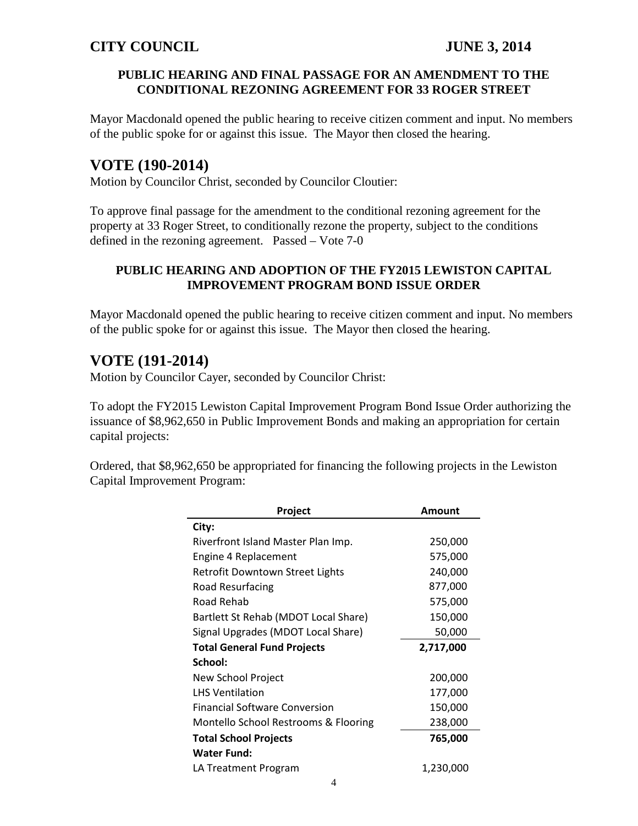#### **PUBLIC HEARING AND FINAL PASSAGE FOR AN AMENDMENT TO THE CONDITIONAL REZONING AGREEMENT FOR 33 ROGER STREET**

Mayor Macdonald opened the public hearing to receive citizen comment and input. No members of the public spoke for or against this issue. The Mayor then closed the hearing.

## **VOTE (190-2014)**

Motion by Councilor Christ, seconded by Councilor Cloutier:

To approve final passage for the amendment to the conditional rezoning agreement for the property at 33 Roger Street, to conditionally rezone the property, subject to the conditions defined in the rezoning agreement. Passed – Vote 7-0

### **PUBLIC HEARING AND ADOPTION OF THE FY2015 LEWISTON CAPITAL IMPROVEMENT PROGRAM BOND ISSUE ORDER**

Mayor Macdonald opened the public hearing to receive citizen comment and input. No members of the public spoke for or against this issue. The Mayor then closed the hearing.

# **VOTE (191-2014)**

Motion by Councilor Cayer, seconded by Councilor Christ:

To adopt the FY2015 Lewiston Capital Improvement Program Bond Issue Order authorizing the issuance of \$8,962,650 in Public Improvement Bonds and making an appropriation for certain capital projects:

Ordered, that \$8,962,650 be appropriated for financing the following projects in the Lewiston Capital Improvement Program:

| Project                              | Amount    |
|--------------------------------------|-----------|
| City:                                |           |
| Riverfront Island Master Plan Imp.   | 250,000   |
| Engine 4 Replacement                 | 575,000   |
| Retrofit Downtown Street Lights      | 240,000   |
| Road Resurfacing                     | 877,000   |
| Road Rehab                           | 575,000   |
| Bartlett St Rehab (MDOT Local Share) | 150,000   |
| Signal Upgrades (MDOT Local Share)   | 50,000    |
| <b>Total General Fund Projects</b>   | 2,717,000 |
| School:                              |           |
| New School Project                   | 200,000   |
| <b>LHS Ventilation</b>               | 177,000   |
| <b>Financial Software Conversion</b> | 150,000   |
| Montello School Restrooms & Flooring | 238,000   |
| <b>Total School Projects</b>         | 765,000   |
| <b>Water Fund:</b>                   |           |
| LA Treatment Program                 | 1,230,000 |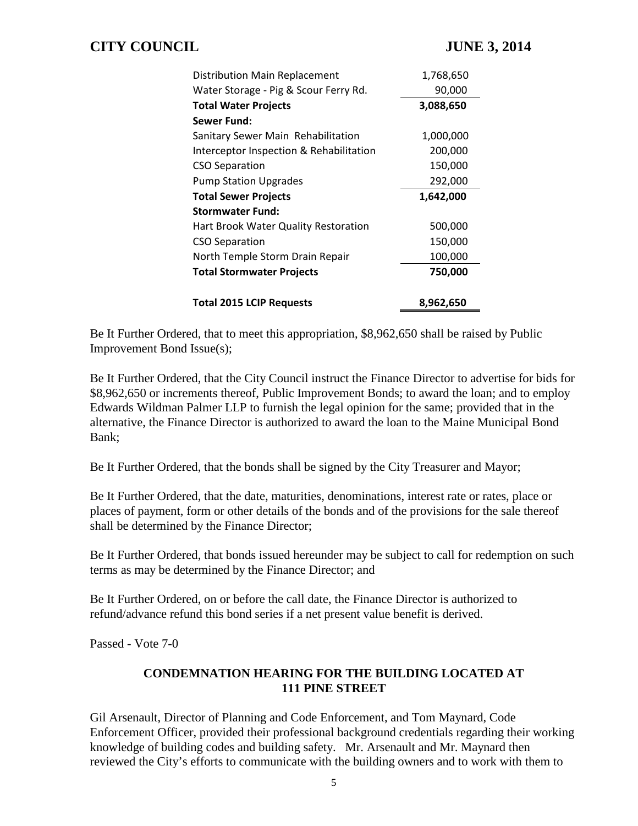| Distribution Main Replacement           | 1,768,650 |
|-----------------------------------------|-----------|
| Water Storage - Pig & Scour Ferry Rd.   | 90,000    |
| <b>Total Water Projects</b>             | 3,088,650 |
| Sewer Fund:                             |           |
| Sanitary Sewer Main Rehabilitation      | 1,000,000 |
| Interceptor Inspection & Rehabilitation | 200,000   |
| <b>CSO Separation</b>                   | 150,000   |
| <b>Pump Station Upgrades</b>            | 292,000   |
| <b>Total Sewer Projects</b>             | 1,642,000 |
|                                         |           |
| <b>Stormwater Fund:</b>                 |           |
| Hart Brook Water Quality Restoration    | 500,000   |
| <b>CSO Separation</b>                   | 150,000   |
| North Temple Storm Drain Repair         | 100,000   |
| <b>Total Stormwater Projects</b>        | 750,000   |

Be It Further Ordered, that to meet this appropriation, \$8,962,650 shall be raised by Public Improvement Bond Issue(s);

Be It Further Ordered, that the City Council instruct the Finance Director to advertise for bids for \$8,962,650 or increments thereof, Public Improvement Bonds; to award the loan; and to employ Edwards Wildman Palmer LLP to furnish the legal opinion for the same; provided that in the alternative, the Finance Director is authorized to award the loan to the Maine Municipal Bond Bank;

Be It Further Ordered, that the bonds shall be signed by the City Treasurer and Mayor;

Be It Further Ordered, that the date, maturities, denominations, interest rate or rates, place or places of payment, form or other details of the bonds and of the provisions for the sale thereof shall be determined by the Finance Director;

Be It Further Ordered, that bonds issued hereunder may be subject to call for redemption on such terms as may be determined by the Finance Director; and

Be It Further Ordered, on or before the call date, the Finance Director is authorized to refund/advance refund this bond series if a net present value benefit is derived.

Passed - Vote 7-0

### **CONDEMNATION HEARING FOR THE BUILDING LOCATED AT 111 PINE STREET**

Gil Arsenault, Director of Planning and Code Enforcement, and Tom Maynard, Code Enforcement Officer, provided their professional background credentials regarding their working knowledge of building codes and building safety. Mr. Arsenault and Mr. Maynard then reviewed the City's efforts to communicate with the building owners and to work with them to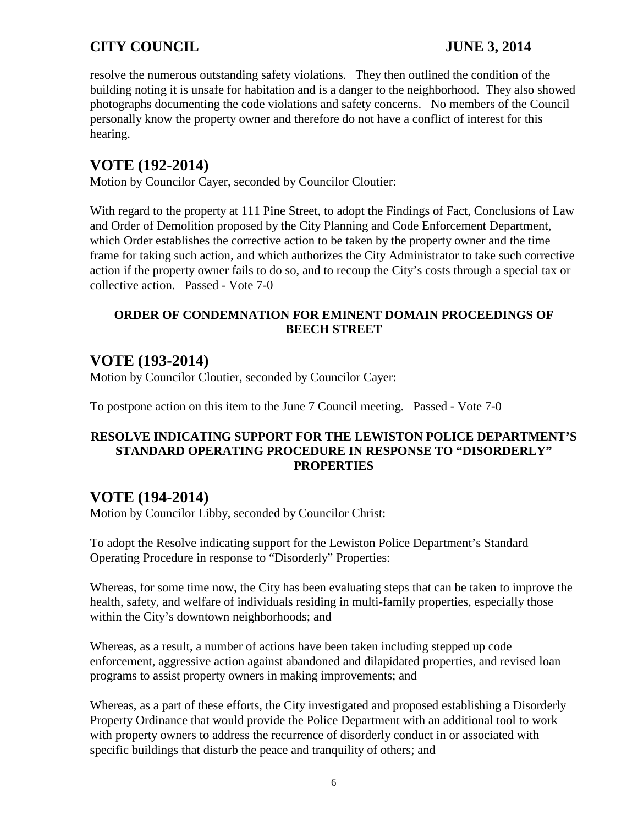resolve the numerous outstanding safety violations. They then outlined the condition of the building noting it is unsafe for habitation and is a danger to the neighborhood. They also showed photographs documenting the code violations and safety concerns. No members of the Council personally know the property owner and therefore do not have a conflict of interest for this hearing.

# **VOTE (192-2014)**

Motion by Councilor Cayer, seconded by Councilor Cloutier:

With regard to the property at 111 Pine Street, to adopt the Findings of Fact, Conclusions of Law and Order of Demolition proposed by the City Planning and Code Enforcement Department, which Order establishes the corrective action to be taken by the property owner and the time frame for taking such action, and which authorizes the City Administrator to take such corrective action if the property owner fails to do so, and to recoup the City's costs through a special tax or collective action. Passed - Vote 7-0

## **ORDER OF CONDEMNATION FOR EMINENT DOMAIN PROCEEDINGS OF BEECH STREET**

# **VOTE (193-2014)**

Motion by Councilor Cloutier, seconded by Councilor Cayer:

To postpone action on this item to the June 7 Council meeting. Passed - Vote 7-0

#### **RESOLVE INDICATING SUPPORT FOR THE LEWISTON POLICE DEPARTMENT'S STANDARD OPERATING PROCEDURE IN RESPONSE TO "DISORDERLY" PROPERTIES**

## **VOTE (194-2014)**

Motion by Councilor Libby, seconded by Councilor Christ:

To adopt the Resolve indicating support for the Lewiston Police Department's Standard Operating Procedure in response to "Disorderly" Properties:

Whereas, for some time now, the City has been evaluating steps that can be taken to improve the health, safety, and welfare of individuals residing in multi-family properties, especially those within the City's downtown neighborhoods; and

Whereas, as a result, a number of actions have been taken including stepped up code enforcement, aggressive action against abandoned and dilapidated properties, and revised loan programs to assist property owners in making improvements; and

Whereas, as a part of these efforts, the City investigated and proposed establishing a Disorderly Property Ordinance that would provide the Police Department with an additional tool to work with property owners to address the recurrence of disorderly conduct in or associated with specific buildings that disturb the peace and tranquility of others; and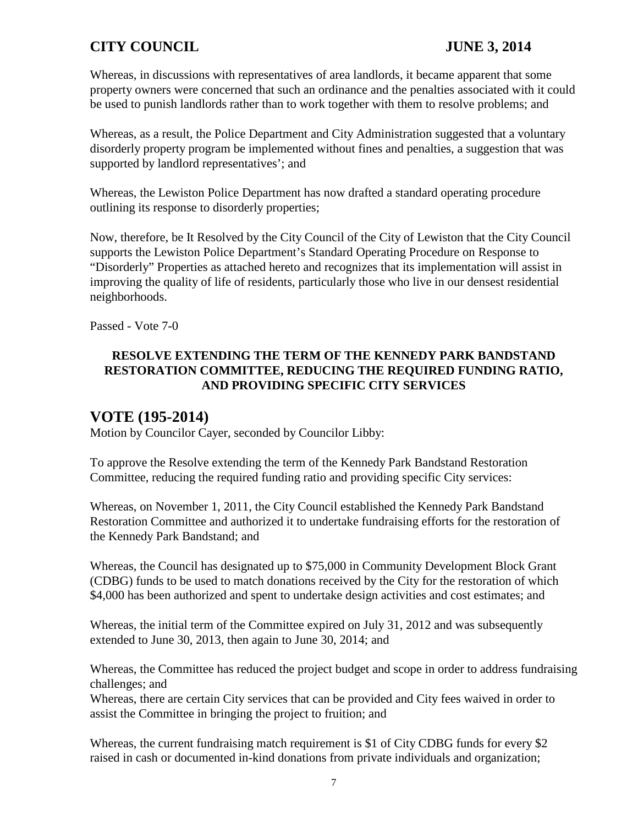Whereas, in discussions with representatives of area landlords, it became apparent that some property owners were concerned that such an ordinance and the penalties associated with it could be used to punish landlords rather than to work together with them to resolve problems; and

Whereas, as a result, the Police Department and City Administration suggested that a voluntary disorderly property program be implemented without fines and penalties, a suggestion that was supported by landlord representatives'; and

Whereas, the Lewiston Police Department has now drafted a standard operating procedure outlining its response to disorderly properties;

Now, therefore, be It Resolved by the City Council of the City of Lewiston that the City Council supports the Lewiston Police Department's Standard Operating Procedure on Response to "Disorderly" Properties as attached hereto and recognizes that its implementation will assist in improving the quality of life of residents, particularly those who live in our densest residential neighborhoods.

Passed - Vote 7-0

## **RESOLVE EXTENDING THE TERM OF THE KENNEDY PARK BANDSTAND RESTORATION COMMITTEE, REDUCING THE REQUIRED FUNDING RATIO, AND PROVIDING SPECIFIC CITY SERVICES**

## **VOTE (195-2014)**

Motion by Councilor Cayer, seconded by Councilor Libby:

To approve the Resolve extending the term of the Kennedy Park Bandstand Restoration Committee, reducing the required funding ratio and providing specific City services:

Whereas, on November 1, 2011, the City Council established the Kennedy Park Bandstand Restoration Committee and authorized it to undertake fundraising efforts for the restoration of the Kennedy Park Bandstand; and

Whereas, the Council has designated up to \$75,000 in Community Development Block Grant (CDBG) funds to be used to match donations received by the City for the restoration of which \$4,000 has been authorized and spent to undertake design activities and cost estimates; and

Whereas, the initial term of the Committee expired on July 31, 2012 and was subsequently extended to June 30, 2013, then again to June 30, 2014; and

Whereas, the Committee has reduced the project budget and scope in order to address fundraising challenges; and

Whereas, there are certain City services that can be provided and City fees waived in order to assist the Committee in bringing the project to fruition; and

Whereas, the current fundraising match requirement is \$1 of City CDBG funds for every \$2 raised in cash or documented in-kind donations from private individuals and organization;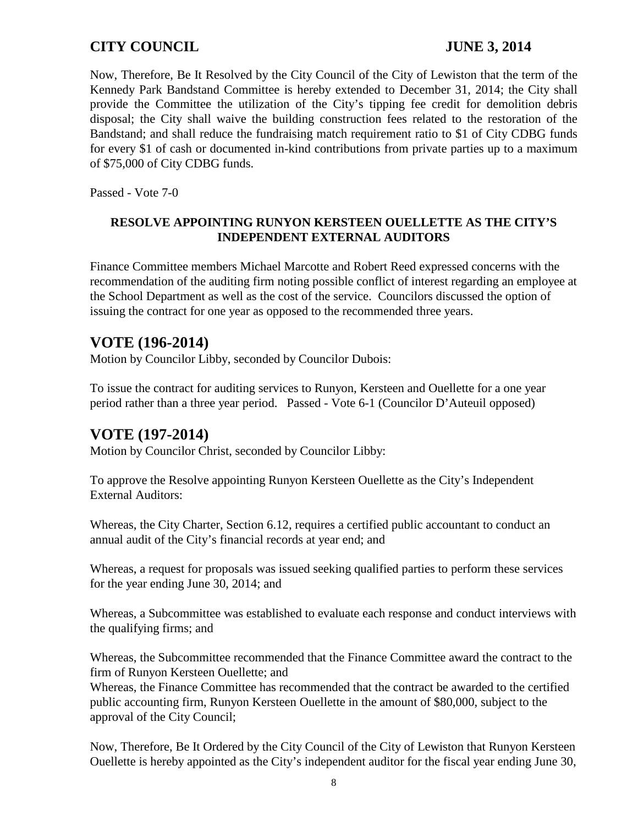Now, Therefore, Be It Resolved by the City Council of the City of Lewiston that the term of the Kennedy Park Bandstand Committee is hereby extended to December 31, 2014; the City shall provide the Committee the utilization of the City's tipping fee credit for demolition debris disposal; the City shall waive the building construction fees related to the restoration of the Bandstand; and shall reduce the fundraising match requirement ratio to \$1 of City CDBG funds for every \$1 of cash or documented in-kind contributions from private parties up to a maximum of \$75,000 of City CDBG funds.

Passed - Vote 7-0

#### **RESOLVE APPOINTING RUNYON KERSTEEN OUELLETTE AS THE CITY'S INDEPENDENT EXTERNAL AUDITORS**

Finance Committee members Michael Marcotte and Robert Reed expressed concerns with the recommendation of the auditing firm noting possible conflict of interest regarding an employee at the School Department as well as the cost of the service. Councilors discussed the option of issuing the contract for one year as opposed to the recommended three years.

# **VOTE (196-2014)**

Motion by Councilor Libby, seconded by Councilor Dubois:

To issue the contract for auditing services to Runyon, Kersteen and Ouellette for a one year period rather than a three year period. Passed - Vote 6-1 (Councilor D'Auteuil opposed)

## **VOTE (197-2014)**

Motion by Councilor Christ, seconded by Councilor Libby:

To approve the Resolve appointing Runyon Kersteen Ouellette as the City's Independent External Auditors:

Whereas, the City Charter, Section 6.12, requires a certified public accountant to conduct an annual audit of the City's financial records at year end; and

Whereas, a request for proposals was issued seeking qualified parties to perform these services for the year ending June 30, 2014; and

Whereas, a Subcommittee was established to evaluate each response and conduct interviews with the qualifying firms; and

Whereas, the Subcommittee recommended that the Finance Committee award the contract to the firm of Runyon Kersteen Ouellette; and

Whereas, the Finance Committee has recommended that the contract be awarded to the certified public accounting firm, Runyon Kersteen Ouellette in the amount of \$80,000, subject to the approval of the City Council;

Now, Therefore, Be It Ordered by the City Council of the City of Lewiston that Runyon Kersteen Ouellette is hereby appointed as the City's independent auditor for the fiscal year ending June 30,